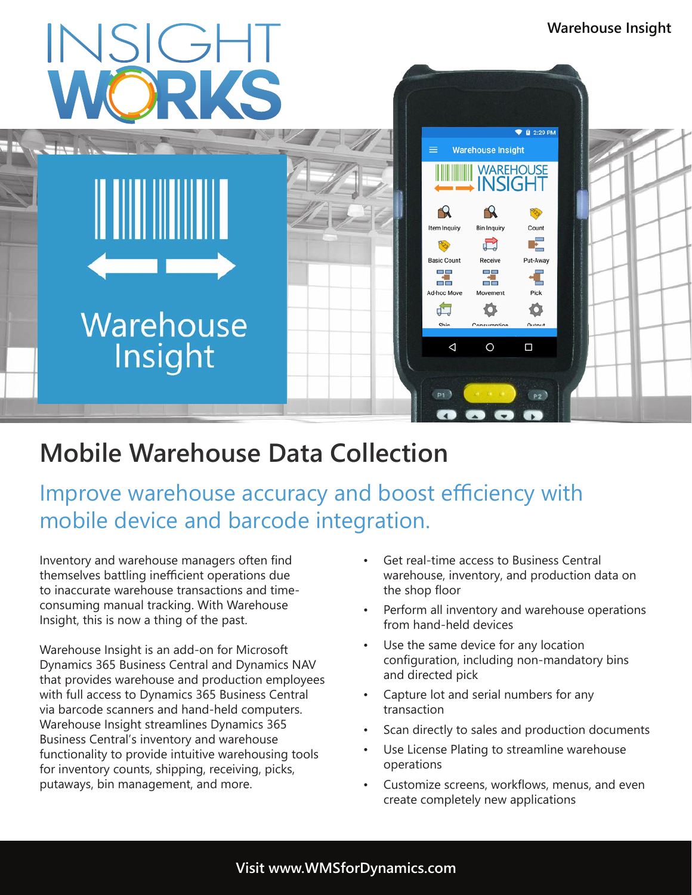

# **Mobile Warehouse Data Collection**

Improve warehouse accuracy and boost efficiency with mobile device and barcode integration.

Inventory and warehouse managers often find themselves battling inefficient operations due to inaccurate warehouse transactions and timeconsuming manual tracking. With Warehouse Insight, this is now a thing of the past.

Warehouse Insight is an add-on for Microsoft Dynamics 365 Business Central and Dynamics NAV that provides warehouse and production employees with full access to Dynamics 365 Business Central via barcode scanners and hand-held computers. Warehouse Insight streamlines Dynamics 365 Business Central's inventory and warehouse functionality to provide intuitive warehousing tools for inventory counts, shipping, receiving, picks, putaways, bin management, and more.

- Get real-time access to Business Central warehouse, inventory, and production data on the shop floor
- Perform all inventory and warehouse operations from hand-held devices
- Use the same device for any location configuration, including non-mandatory bins and directed pick
- Capture lot and serial numbers for any transaction
- Scan directly to sales and production documents
- Use License Plating to streamline warehouse operations
- Customize screens, workflows, menus, and even create completely new applications